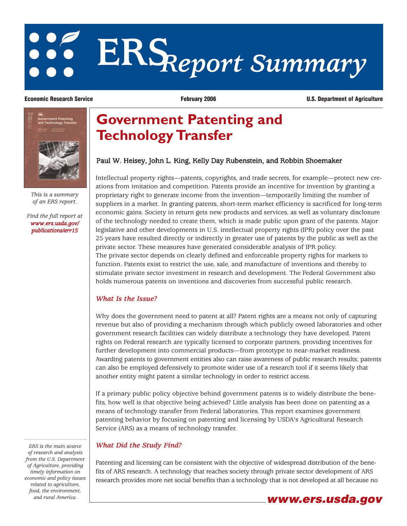# **ERS***Report Summary*

**Economic Research Service February 2006 U.S. Department of Agriculture**



*This is a summary of an ERS report.*

*[Find the full report at](http://preview.ers.usda.gov/publications/err15) www.ers.usda.gov/ publications/err15*

# **Government Patenting and Technology Transfer**

## Paul W. Heisey, John L. King, Kelly Day Rubenstein, and Robbin Shoemaker

Intellectual property rights—patents, copyrights, and trade secrets, for example—protect new creations from imitation and competition. Patents provide an incentive for invention by granting a proprietary right to generate income from the invention—temporarily limiting the number of suppliers in a market. In granting patents, short-term market efficiency is sacrificed for long-term economic gains. Society in return gets new products and services, as well as voluntary disclosure of the technology needed to create them, which is made public upon grant of the patents. Major legislative and other developments in U.S. intellectual property rights (IPR) policy over the past 25 years have resulted directly or indirectly in greater use of patents by the public as well as the private sector. These measures have generated considerable analysis of IPR policy. The private sector depends on clearly defined and enforceable property rights for markets to function. Patents exist to restrict the use, sale, and manufacture of inventions and thereby to stimulate private sector investment in research and development. The Federal Government also holds numerous patents on inventions and discoveries from successful public research.

### *What Is the Issue?*

Why does the government need to patent at all? Patent rights are a means not only of capturing revenue but also of providing a mechanism through which publicly owned laboratories and other government research facilities can widely distribute a technology they have developed. Patent rights on Federal research are typically licensed to corporate partners, providing incentives for further development into commercial products—from prototype to near-market readiness. Awarding patents to government entities also can raise awareness of public research results; patents can also be employed defensively to promote wider use of a research tool if it seems likely that another entity might patent a similar technology in order to restrict access.

If a primary public policy objective behind government patents is to widely distribute the benefits, how well is that objective being achieved? Little analysis has been done on patenting as a means of technology transfer from Federal laboratories. This report examines government patenting behavior by focusing on patenting and licensing by USDA's Agricultural Research Service (ARS) as a means of technology transfer.

## *What Did the Study Find?*

Patenting and licensing can be consistent with the objective of widespread distribution of the benefits of ARS research. A technology that reaches society through private sector development of ARS research provides more net social benefits than a technology that is not developed at all because no

*ERS is the main source of research and analysis from the U.S. Department of Agriculture, providing timely information on economic and policy issues related to agriculture, food, the environment,*

# *and rural America.* **www.ers.usda.gov**